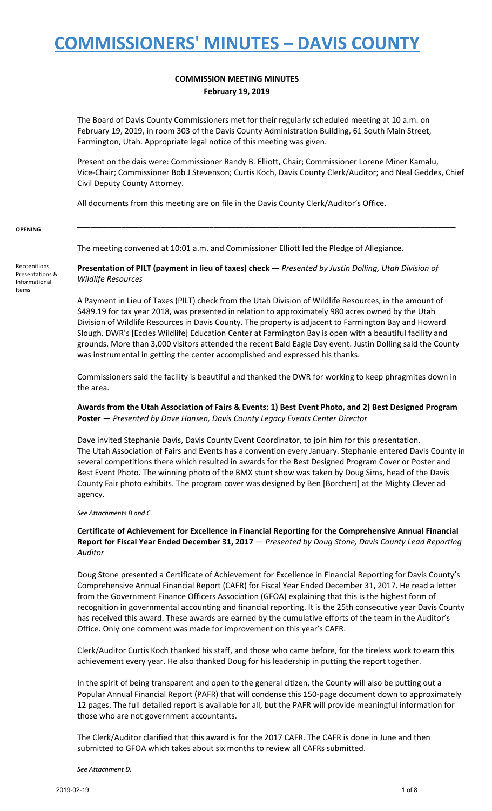### **COMMISSION MEETING MINUTES February 19, 2019**

The Board of Davis County Commissioners met for their regularly scheduled meeting at 10 a.m. on February 19, 2019, in room 303 of the Davis County Administration Building, 61 South Main Street, Farmington, Utah. Appropriate legal notice of this meeting was given.

Present on the dais were: Commissioner Randy B. Elliott, Chair; Commissioner Lorene Miner Kamalu, Vice-Chair; Commissioner Bob J Stevenson; Curtis Koch, Davis County Clerk/Auditor; and Neal Geddes, Chief Civil Deputy County Attorney.

**\_\_\_\_\_\_\_\_\_\_\_\_\_\_\_\_\_\_\_\_\_\_\_\_\_\_\_\_\_\_\_\_\_\_\_\_\_\_\_\_\_\_\_\_\_\_\_\_\_\_\_\_\_\_\_\_\_\_\_\_\_\_\_\_\_\_\_\_\_\_\_\_\_\_\_\_\_\_\_\_\_\_\_\_\_\_**

All documents from this meeting are on file in the Davis County Clerk/Auditor's Office.

#### **OPENING**

The meeting convened at 10:01 a.m. and Commissioner Elliott led the Pledge of Allegiance.

Recognitions, Presentations & Informational Items

**Presentation of PILT (payment in lieu of taxes) check** — *Presented by Justin Dolling, Utah Division of Wildlife Resources*

A Payment in Lieu of Taxes (PILT) check from the Utah Division of Wildlife Resources, in the amount of \$489.19 for tax year 2018, was presented in relation to approximately 980 acres owned by the Utah Division of Wildlife Resources in Davis County. The property is adjacent to Farmington Bay and Howard Slough. DWR's [Eccles Wildlife] Education Center at Farmington Bay is open with a beautiful facility and grounds. More than 3,000 visitors attended the recent Bald Eagle Day event. Justin Dolling said the County was instrumental in getting the center accomplished and expressed his thanks.

Commissioners said the facility is beautiful and thanked the DWR for working to keep phragmites down in the area.

Awards from the Utah Association of Fairs & Events: 1) Best Event Photo, and 2) Best Designed Program **Poster** — *Presented by Dave Hansen, Davis County Legacy Events Center Director*

Dave invited Stephanie Davis, Davis County Event Coordinator, to join him for this presentation. The Utah Association of Fairs and Events has a convention every January. Stephanie entered Davis County in several competitions there which resulted in awards for the Best Designed Program Cover or Poster and Best Event Photo. The winning photo of the BMX stunt show was taken by Doug Sims, head of the Davis County Fair photo exhibits. The program cover was designed by Ben [Borchert] at the Mighty Clever ad agency.

#### *See Attachments B and C.*

**Certificate of Achievement for Excellence in Financial Reporting for the Comprehensive Annual Financial Report for Fiscal Year Ended December 31, 2017** — *Presented by Doug Stone, Davis County Lead Reporting Auditor*

Doug Stone presented a Certificate of Achievement for Excellence in Financial Reporting for Davis County's Comprehensive Annual Financial Report (CAFR) for Fiscal Year Ended December 31, 2017. He read a letter from the Government Finance Officers Association (GFOA) explaining that this is the highest form of recognition in governmental accounting and financial reporting. It is the 25th consecutive year Davis County has received this award. These awards are earned by the cumulative efforts of the team in the Auditor's Office. Only one comment was made for improvement on this year's CAFR.

Clerk/Auditor Curtis Koch thanked his staff, and those who came before, for the tireless work to earn this achievement every year. He also thanked Doug for his leadership in putting the report together.

In the spirit of being transparent and open to the general citizen, the County will also be putting out a Popular Annual Financial Report (PAFR) that will condense this 150-page document down to approximately 12 pages. The full detailed report is available for all, but the PAFR will provide meaningful information for those who are not government accountants.

The Clerk/Auditor clarified that this award is for the 2017 CAFR. The CAFR is done in June and then submitted to GFOA which takes about six months to review all CAFRs submitted.

*See Attachment D.*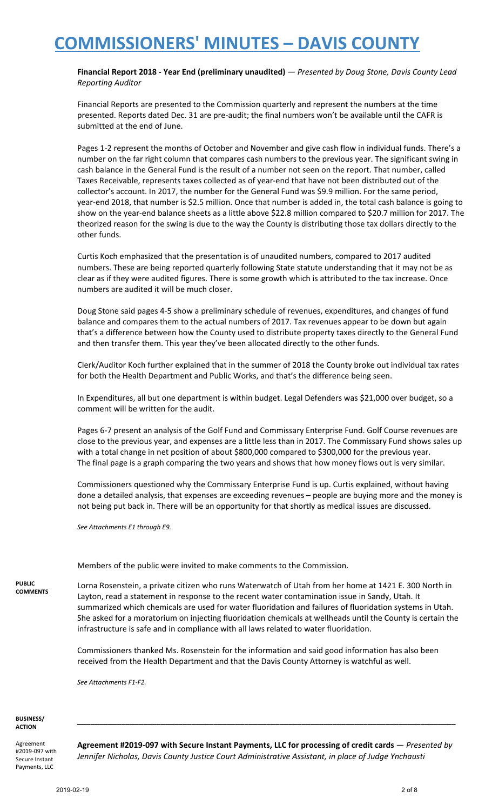**Financial Report 2018 - Year End (preliminary unaudited)** — *Presented by Doug Stone, Davis County Lead Reporting Auditor*

Financial Reports are presented to the Commission quarterly and represent the numbers at the time presented. Reports dated Dec. 31 are pre-audit; the final numbers won't be available until the CAFR is submitted at the end of June.

Pages 1-2 represent the months of October and November and give cash flow in individual funds. There's a number on the far right column that compares cash numbers to the previous year. The significant swing in cash balance in the General Fund is the result of a number not seen on the report. That number, called Taxes Receivable, represents taxes collected as of year-end that have not been distributed out of the collector's account. In 2017, the number for the General Fund was \$9.9 million. For the same period, year-end 2018, that number is \$2.5 million. Once that number is added in, the total cash balance is going to show on the year-end balance sheets as a little above \$22.8 million compared to \$20.7 million for 2017. The theorized reason for the swing is due to the way the County is distributing those tax dollars directly to the other funds.

Curtis Koch emphasized that the presentation is of unaudited numbers, compared to 2017 audited numbers. These are being reported quarterly following State statute understanding that it may not be as clear as if they were audited figures. There is some growth which is attributed to the tax increase. Once numbers are audited it will be much closer.

Doug Stone said pages 4-5 show a preliminary schedule of revenues, expenditures, and changes of fund balance and compares them to the actual numbers of 2017. Tax revenues appear to be down but again that's a difference between how the County used to distribute property taxes directly to the General Fund and then transfer them. This year they've been allocated directly to the other funds.

Clerk/Auditor Koch further explained that in the summer of 2018 the County broke out individual tax rates for both the Health Department and Public Works, and that's the difference being seen.

In Expenditures, all but one department is within budget. Legal Defenders was \$21,000 over budget, so a comment will be written for the audit.

Pages 6-7 present an analysis of the Golf Fund and Commissary Enterprise Fund. Golf Course revenues are close to the previous year, and expenses are a little less than in 2017. The Commissary Fund shows sales up with a total change in net position of about \$800,000 compared to \$300,000 for the previous year. The final page is a graph comparing the two years and shows that how money flows out is very similar.

Commissioners questioned why the Commissary Enterprise Fund is up. Curtis explained, without having done a detailed analysis, that expenses are exceeding revenues – people are buying more and the money is not being put back in. There will be an opportunity for that shortly as medical issues are discussed.

*See Attachments E1 through E9.*

Members of the public were invited to make comments to the Commission.

**PUBLIC COMMENTS**

Lorna Rosenstein, a private citizen who runs Waterwatch of Utah from her home at 1421 E. 300 North in Layton, read a statement in response to the recent water contamination issue in Sandy, Utah. It summarized which chemicals are used for water fluoridation and failures of fluoridation systems in Utah. She asked for a moratorium on injecting fluoridation chemicals at wellheads until the County is certain the infrastructure is safe and in compliance with all laws related to water fluoridation.

Commissioners thanked Ms. Rosenstein for the information and said good information has also been received from the Health Department and that the Davis County Attorney is watchful as well.

*See Attachments F1-F2.*

**BUSINESS/ ACTION**

Agreement #2019-097 with Secure Instant Payments, LLC

**Agreement #2019-097 with Secure Instant Payments, LLC for processing of credit cards** — *Presented by Jennifer Nicholas, Davis County Justice Court Administrative Assistant, in place of Judge Ynchausti*

**\_\_\_\_\_\_\_\_\_\_\_\_\_\_\_\_\_\_\_\_\_\_\_\_\_\_\_\_\_\_\_\_\_\_\_\_\_\_\_\_\_\_\_\_\_\_\_\_\_\_\_\_\_\_\_\_\_\_\_\_\_\_\_\_\_\_\_\_\_\_\_\_\_\_\_\_\_\_\_\_\_\_\_\_\_\_**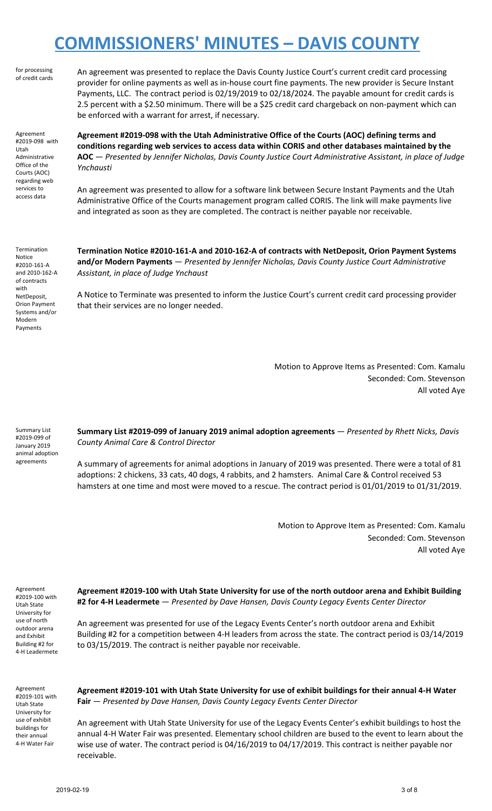for processing of credit cards

An agreement was presented to replace the Davis County Justice Court's current credit card processing provider for online payments as well as in-house court fine payments. The new provider is Secure Instant Payments, LLC. The contract period is 02/19/2019 to 02/18/2024. The payable amount for credit cards is 2.5 percent with a \$2.50 minimum. There will be a \$25 credit card chargeback on non-payment which can be enforced with a warrant for arrest, if necessary.

Agreement #2019-098 with Utah Administrative Office of the Courts (AOC) regarding web services to access data

**Agreement #2019-098 with the Utah Administrative Office of the Courts (AOC) defining terms and conditions regarding web services to access data within CORIS and other databases maintained by the AOC** — *Presented by Jennifer Nicholas, Davis County Justice Court Administrative Assistant, in place of Judge Ynchausti*

An agreement was presented to allow for a software link between Secure Instant Payments and the Utah Administrative Office of the Courts management program called CORIS. The link will make payments live and integrated as soon as they are completed. The contract is neither payable nor receivable.

Termination Notice #2010-161-A and 2010-162-A of contracts with NetDeposit, Orion Payment Systems and/or Modern Payments

**Termination Notice #2010-161-A and 2010-162-A of contracts with NetDeposit, Orion Payment Systems and/or Modern Payments** — *Presented by Jennifer Nicholas, Davis County Justice Court Administrative Assistant, in place of Judge Ynchaust*

A Notice to Terminate was presented to inform the Justice Court's current credit card processing provider that their services are no longer needed.

> Motion to Approve Items as Presented: Com. Kamalu Seconded: Com. Stevenson All voted Aye

Summary List #2019-099 of January 2019 animal adoption agreements

**Summary List #2019-099 of January 2019 animal adoption agreements** — *Presented by Rhett Nicks, Davis County Animal Care & Control Director*

A summary of agreements for animal adoptions in January of 2019 was presented. There were a total of 81 adoptions: 2 chickens, 33 cats, 40 dogs, 4 rabbits, and 2 hamsters. Animal Care & Control received 53 hamsters at one time and most were moved to a rescue. The contract period is 01/01/2019 to 01/31/2019.

> Motion to Approve Item as Presented: Com. Kamalu Seconded: Com. Stevenson All voted Aye

Agreement #2019-100 with Utah State University for use of north outdoor arena and Exhibit Building #2 for 4-H Leadermete

**Agreement #2019-100 with Utah State University for use of the north outdoor arena and Exhibit Building #2 for 4-H Leadermete** — *Presented by Dave Hansen, Davis County Legacy Events Center Director*

An agreement was presented for use of the Legacy Events Center's north outdoor arena and Exhibit Building #2 for a competition between 4-H leaders from across the state. The contract period is 03/14/2019 to 03/15/2019. The contract is neither payable nor receivable.

Agreement #2019-101 with Utah State University for use of exhibit buildings for their annual 4-H Water Fair

**Agreement #2019-101 with Utah State University for use of exhibit buildings for their annual 4-H Water Fair** — *Presented by Dave Hansen, Davis County Legacy Events Center Director*

An agreement with Utah State University for use of the Legacy Events Center's exhibit buildings to host the annual 4-H Water Fair was presented. Elementary school children are bused to the event to learn about the wise use of water. The contract period is 04/16/2019 to 04/17/2019. This contract is neither payable nor receivable.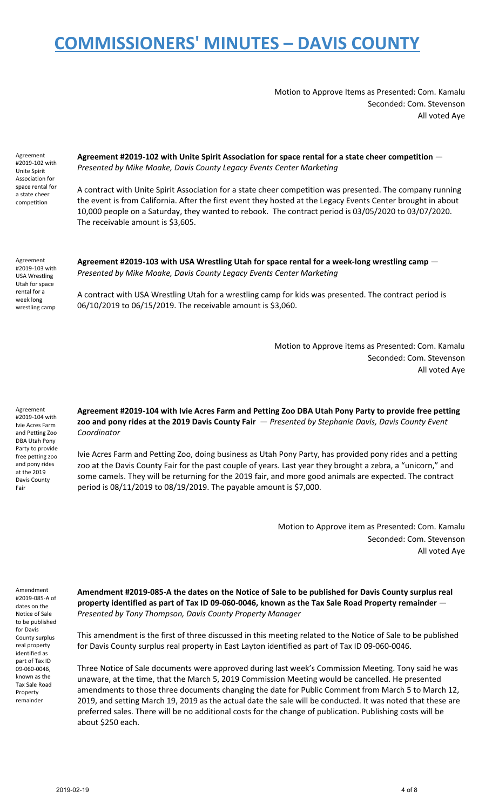Motion to Approve Items as Presented: Com. Kamalu Seconded: Com. Stevenson All voted Aye

Agreement #2019-102 with Unite Spirit Association for space rental for a state cheer competition

**Agreement #2019-102 with Unite Spirit Association for space rental for a state cheer competition** — *Presented by Mike Moake, Davis County Legacy Events Center Marketing*

A contract with Unite Spirit Association for a state cheer competition was presented. The company running the event is from California. After the first event they hosted at the Legacy Events Center brought in about 10,000 people on a Saturday, they wanted to rebook. The contract period is 03/05/2020 to 03/07/2020. The receivable amount is \$3,605.

Agreement #2019-103 with USA Wrestling Utah for space rental for a week long wrestling camp

**Agreement #2019-103 with USA Wrestling Utah for space rental for a week-long wrestling camp** — *Presented by Mike Moake, Davis County Legacy Events Center Marketing*

A contract with USA Wrestling Utah for a wrestling camp for kids was presented. The contract period is 06/10/2019 to 06/15/2019. The receivable amount is \$3,060.

> Motion to Approve items as Presented: Com. Kamalu Seconded: Com. Stevenson All voted Aye

Agreement #2019-104 with Ivie Acres Farm and Petting Zoo DBA Utah Pony Party to provide free petting zoo and pony rides at the 2019 Davis County Fair

**Agreement #2019-104 with Ivie Acres Farm and Petting Zoo DBA Utah Pony Party to provide free petting zoo and pony rides at the 2019 Davis County Fair** — *Presented by Stephanie Davis, Davis County Event Coordinator*

Ivie Acres Farm and Petting Zoo, doing business as Utah Pony Party, has provided pony rides and a petting zoo at the Davis County Fair for the past couple of years. Last year they brought a zebra, a "unicorn," and some camels. They will be returning for the 2019 fair, and more good animals are expected. The contract period is 08/11/2019 to 08/19/2019. The payable amount is \$7,000.

> Motion to Approve item as Presented: Com. Kamalu Seconded: Com. Stevenson All voted Aye

Amendment #2019-085-A of dates on the Notice of Sale to be published for Davis County surplus real property identified as part of Tax ID 09-060-0046, known as the Tax Sale Road Property remainder

**Amendment #2019-085-A the dates on the Notice of Sale to be published for Davis County surplus real property identified as part of Tax ID 09-060-0046, known as the Tax Sale Road Property remainder** — *Presented by Tony Thompson, Davis County Property Manager*

This amendment is the first of three discussed in this meeting related to the Notice of Sale to be published for Davis County surplus real property in East Layton identified as part of Tax ID 09-060-0046.

Three Notice of Sale documents were approved during last week's Commission Meeting. Tony said he was unaware, at the time, that the March 5, 2019 Commission Meeting would be cancelled. He presented amendments to those three documents changing the date for Public Comment from March 5 to March 12, 2019, and setting March 19, 2019 as the actual date the sale will be conducted. It was noted that these are preferred sales. There will be no additional costs for the change of publication. Publishing costs will be about \$250 each.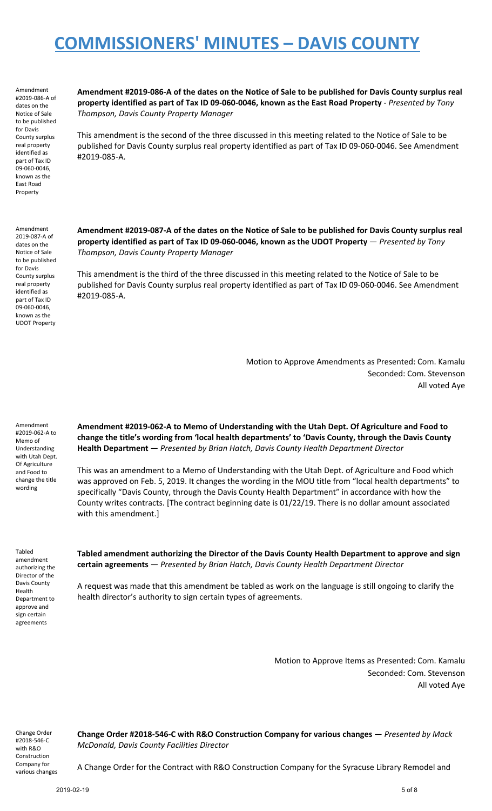Amendment #2019-086-A of dates on the Notice of Sale to be published for Davis County surplus real property identified as part of Tax ID 09-060-0046, known as the East Road Property

Amendment #2019-086-A of the dates on the Notice of Sale to be published for Davis County surplus real **property identified as part of Tax ID 09-060-0046, known as the East Road Property** - *Presented by Tony Thompson, Davis County Property Manager*

This amendment is the second of the three discussed in this meeting related to the Notice of Sale to be published for Davis County surplus real property identified as part of Tax ID 09-060-0046. See Amendment #2019-085-A.

Amendment 2019-087-A of dates on the Notice of Sale to be published for Davis County surplus real property identified as part of Tax ID 09-060-0046, known as the UDOT Property

Amendment #2019-087-A of the dates on the Notice of Sale to be published for Davis County surplus real **property identified as part of Tax ID 09-060-0046, known as the UDOT Property** — *Presented by Tony Thompson, Davis County Property Manager*

This amendment is the third of the three discussed in this meeting related to the Notice of Sale to be published for Davis County surplus real property identified as part of Tax ID 09-060-0046. See Amendment #2019-085-A.

> Motion to Approve Amendments as Presented: Com. Kamalu Seconded: Com. Stevenson All voted Aye

Amendment #2019-062-A to Memo of Understanding with Utah Dept. Of Agriculture and Food to change the title wording

**Amendment #2019-062-A to Memo of Understanding with the Utah Dept. Of Agriculture and Food to change the title's wording from 'local health departments' to 'Davis County, through the Davis County Health Department** — *Presented by Brian Hatch, Davis County Health Department Director*

This was an amendment to a Memo of Understanding with the Utah Dept. of Agriculture and Food which was approved on Feb. 5, 2019. It changes the wording in the MOU title from "local health departments" to specifically "Davis County, through the Davis County Health Department" in accordance with how the County writes contracts. [The contract beginning date is 01/22/19. There is no dollar amount associated with this amendment.]

Tabled amendment authorizing the Director of the Davis County Health Department to approve and sign certain agreements

**Tabled amendment authorizing the Director of the Davis County Health Department to approve and sign certain agreements** — *Presented by Brian Hatch, Davis County Health Department Director*

A request was made that this amendment be tabled as work on the language is still ongoing to clarify the health director's authority to sign certain types of agreements.

> Motion to Approve Items as Presented: Com. Kamalu Seconded: Com. Stevenson All voted Aye

Change Order #2018-546-C with R&O Construction Company for various changes **Change Order #2018-546-C with R&O Construction Company for various changes** — *Presented by Mack McDonald, Davis County Facilities Director*

A Change Order for the Contract with R&O Construction Company for the Syracuse Library Remodel and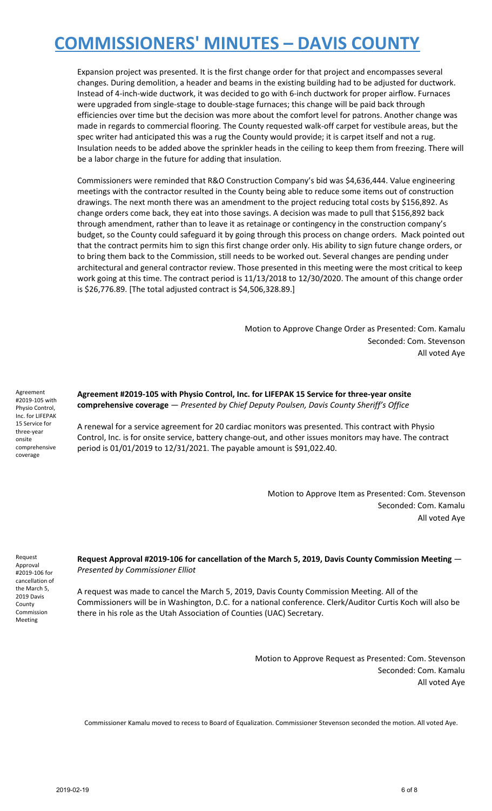Expansion project was presented. It is the first change order for that project and encompasses several changes. During demolition, a header and beams in the existing building had to be adjusted for ductwork. Instead of 4-inch-wide ductwork, it was decided to go with 6-inch ductwork for proper airflow. Furnaces were upgraded from single-stage to double-stage furnaces; this change will be paid back through efficiencies over time but the decision was more about the comfort level for patrons. Another change was made in regards to commercial flooring. The County requested walk-off carpet for vestibule areas, but the spec writer had anticipated this was a rug the County would provide; it is carpet itself and not a rug. Insulation needs to be added above the sprinkler heads in the ceiling to keep them from freezing. There will be a labor charge in the future for adding that insulation.

Commissioners were reminded that R&O Construction Company's bid was \$4,636,444. Value engineering meetings with the contractor resulted in the County being able to reduce some items out of construction drawings. The next month there was an amendment to the project reducing total costs by \$156,892. As change orders come back, they eat into those savings. A decision was made to pull that \$156,892 back through amendment, rather than to leave it as retainage or contingency in the construction company's budget, so the County could safeguard it by going through this process on change orders. Mack pointed out that the contract permits him to sign this first change order only. His ability to sign future change orders, or to bring them back to the Commission, still needs to be worked out. Several changes are pending under architectural and general contractor review. Those presented in this meeting were the most critical to keep work going at this time. The contract period is 11/13/2018 to 12/30/2020. The amount of this change order is \$26,776.89. [The total adjusted contract is \$4,506,328.89.]

> Motion to Approve Change Order as Presented: Com. Kamalu Seconded: Com. Stevenson All voted Aye

Agreement #2019-105 with Physio Control, Inc. for LIFEPAK 15 Service for three-year onsite comprehensive coverage

**Agreement #2019-105 with Physio Control, Inc. for LIFEPAK 15 Service for three-year onsite comprehensive coverage** — *Presented by Chief Deputy Poulsen, Davis County Sheriff's Office*

A renewal for a service agreement for 20 cardiac monitors was presented. This contract with Physio Control, Inc. is for onsite service, battery change-out, and other issues monitors may have. The contract period is 01/01/2019 to 12/31/2021. The payable amount is \$91,022.40.

> Motion to Approve Item as Presented: Com. Stevenson Seconded: Com. Kamalu All voted Aye

Request Approval #2019-106 for cancellation of the March 5, 2019 Davis County Commission Meeting

**Request Approval #2019-106 for cancellation of the March 5, 2019, Davis County Commission Meeting** — *Presented by Commissioner Elliot*

A request was made to cancel the March 5, 2019, Davis County Commission Meeting. All of the Commissioners will be in Washington, D.C. for a national conference. Clerk/Auditor Curtis Koch will also be there in his role as the Utah Association of Counties (UAC) Secretary.

> Motion to Approve Request as Presented: Com. Stevenson Seconded: Com. Kamalu All voted Aye

Commissioner Kamalu moved to recess to Board of Equalization. Commissioner Stevenson seconded the motion. All voted Aye.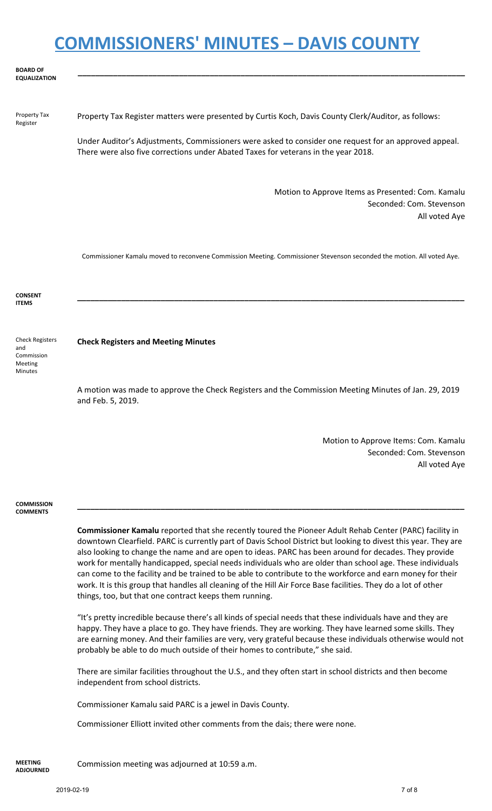| <b>BOARD OF</b><br><b>EQUALIZATION</b> |                                                                                                                                                                                             |
|----------------------------------------|---------------------------------------------------------------------------------------------------------------------------------------------------------------------------------------------|
| Property Tax<br>Register               | Property Tax Register matters were presented by Curtis Koch, Davis County Clerk/Auditor, as follows:                                                                                        |
|                                        | Under Auditor's Adjustments, Commissioners were asked to consider one request for an approved appeal.<br>There were also five corrections under Abated Taxes for veterans in the year 2018. |

Motion to Approve Items as Presented: Com. Kamalu Seconded: Com. Stevenson All voted Aye

Commissioner Kamalu moved to reconvene Commission Meeting. Commissioner Stevenson seconded the motion. All voted Aye.

**\_\_\_\_\_\_\_\_\_\_\_\_\_\_\_\_\_\_\_\_\_\_\_\_\_\_\_\_\_\_\_\_\_\_\_\_\_\_\_\_\_\_\_\_\_\_\_\_\_\_\_\_\_\_\_\_\_\_\_\_\_\_\_\_\_\_\_\_\_\_\_\_\_\_\_\_\_\_\_\_\_\_\_\_\_\_\_\_**

**CONSENT ITEMS**

Check Registers and Commission Meeting Minutes

#### **Check Registers and Meeting Minutes**

A motion was made to approve the Check Registers and the Commission Meeting Minutes of Jan. 29, 2019 and Feb. 5, 2019.

> Motion to Approve Items: Com. Kamalu Seconded: Com. Stevenson All voted Aye

#### **COMMISSION COMMENTS**

**Commissioner Kamalu** reported that she recently toured the Pioneer Adult Rehab Center (PARC) facility in downtown Clearfield. PARC is currently part of Davis School District but looking to divest this year. They are also looking to change the name and are open to ideas. PARC has been around for decades. They provide work for mentally handicapped, special needs individuals who are older than school age. These individuals can come to the facility and be trained to be able to contribute to the workforce and earn money for their work. It is this group that handles all cleaning of the Hill Air Force Base facilities. They do a lot of other things, too, but that one contract keeps them running.

**\_\_\_\_\_\_\_\_\_\_\_\_\_\_\_\_\_\_\_\_\_\_\_\_\_\_\_\_\_\_\_\_\_\_\_\_\_\_\_\_\_\_\_\_\_\_\_\_\_\_\_\_\_\_\_\_\_\_\_\_\_\_\_\_\_\_\_\_\_\_\_\_\_\_\_\_\_\_\_\_\_\_\_\_\_\_\_\_**

"It's pretty incredible because there's all kinds of special needs that these individuals have and they are happy. They have a place to go. They have friends. They are working. They have learned some skills. They are earning money. And their families are very, very grateful because these individuals otherwise would not probably be able to do much outside of their homes to contribute," she said.

There are similar facilities throughout the U.S., and they often start in school districts and then become independent from school districts.

Commissioner Kamalu said PARC is a jewel in Davis County.

Commissioner Elliott invited other comments from the dais; there were none.

**MEETING ADJOURNED**

Commission meeting was adjourned at 10:59 a.m.